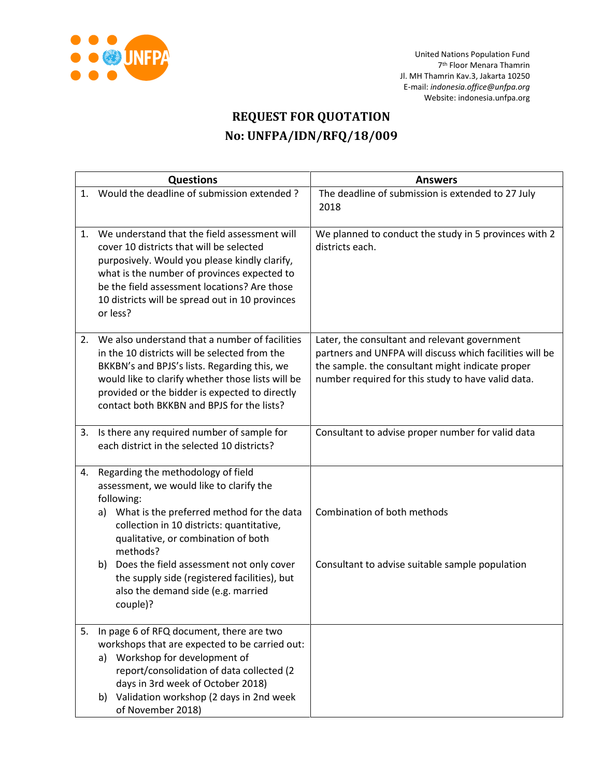

United Nations Population Fund 7 th Floor Menara Thamrin Jl. MH Thamrin Kav.3, Jakarta 10250 E-mail: *indonesia.office@unfpa.org* Website: indonesia.unfpa.org

## **REQUEST FOR QUOTATION No: UNFPA/IDN/RFQ/18/009**

|    | <b>Questions</b>                                                                                                                                                                                                                                                                                        | <b>Answers</b>                                                                                                                                                                                                      |
|----|---------------------------------------------------------------------------------------------------------------------------------------------------------------------------------------------------------------------------------------------------------------------------------------------------------|---------------------------------------------------------------------------------------------------------------------------------------------------------------------------------------------------------------------|
| 1. | Would the deadline of submission extended ?                                                                                                                                                                                                                                                             | The deadline of submission is extended to 27 July<br>2018                                                                                                                                                           |
| 1. | We understand that the field assessment will<br>cover 10 districts that will be selected<br>purposively. Would you please kindly clarify,<br>what is the number of provinces expected to<br>be the field assessment locations? Are those<br>10 districts will be spread out in 10 provinces<br>or less? | We planned to conduct the study in 5 provinces with 2<br>districts each.                                                                                                                                            |
| 2. | We also understand that a number of facilities<br>in the 10 districts will be selected from the<br>BKKBN's and BPJS's lists. Regarding this, we<br>would like to clarify whether those lists will be<br>provided or the bidder is expected to directly<br>contact both BKKBN and BPJS for the lists?    | Later, the consultant and relevant government<br>partners and UNFPA will discuss which facilities will be<br>the sample. the consultant might indicate proper<br>number required for this study to have valid data. |
| 3. | Is there any required number of sample for<br>each district in the selected 10 districts?                                                                                                                                                                                                               | Consultant to advise proper number for valid data                                                                                                                                                                   |
| 4. | Regarding the methodology of field<br>assessment, we would like to clarify the<br>following:<br>What is the preferred method for the data<br>a)<br>collection in 10 districts: quantitative,<br>qualitative, or combination of both<br>methods?                                                         | Combination of both methods                                                                                                                                                                                         |
|    | Does the field assessment not only cover<br>b)<br>the supply side (registered facilities), but<br>also the demand side (e.g. married<br>couple)?                                                                                                                                                        | Consultant to advise suitable sample population                                                                                                                                                                     |
|    | 5. In page 6 of RFQ document, there are two<br>workshops that are expected to be carried out:<br>Workshop for development of<br>a)<br>report/consolidation of data collected (2<br>days in 3rd week of October 2018)<br>b) Validation workshop (2 days in 2nd week<br>of November 2018)                 |                                                                                                                                                                                                                     |